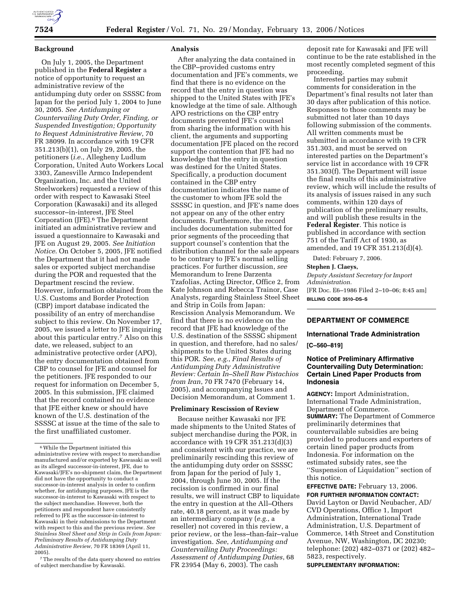## **Background**

On July 1, 2005, the Department published in the **Federal Register** a notice of opportunity to request an administrative review of the antidumping duty order on SSSSC from Japan for the period July 1, 2004 to June 30, 2005. *See Antidumping or Countervailing Duty Order, Finding, or Suspended Investigation; Opportunity to Request Administrative Review*, 70 FR 38099. In accordance with 19 CFR 351.213(b)(1), on July 29, 2005, the petitioners (*i.e.*, Allegheny Ludlum Corporation, United Auto Workers Local 3303, Zanesville Armco Independent Organization, Inc. and the United Steelworkers) requested a review of this order with respect to Kawasaki Steel Corporation (Kawasaki) and its alleged successor–in-interest, JFE Steel Corporation (JFE).6 The Department initiated an administrative review and issued a questionnaire to Kawasaki and JFE on August 29, 2005. *See Initiation Notice*. On October 5, 2005, JFE notified the Department that it had not made sales or exported subject merchandise during the POR and requested that the Department rescind the review. However, information obtained from the U.S. Customs and Border Protection (CBP) import database indicated the possibility of an entry of merchandise subject to this review. On November 17, 2005, we issued a letter to JFE inquiring about this particular entry.7 Also on this date, we released, subject to an administrative protective order (APO), the entry documentation obtained from CBP to counsel for JFE and counsel for the petitioners. JFE responded to our request for information on December 5, 2005. In this submission, JFE claimed that the record contained no evidence that JFE either knew or should have known of the U.S. destination of the SSSSC at issue at the time of the sale to the first unaffiliated customer.

7The results of the data query showed no entries of subject merchandise by Kawasaki.

## **Analysis**

After analyzing the data contained in the CBP–provided customs entry documentation and JFE's comments, we find that there is no evidence on the record that the entry in question was shipped to the United States with JFE's knowledge at the time of sale. Although APO restrictions on the CBP entry documents prevented JFE's counsel from sharing the information with his client, the arguments and supporting documentation JFE placed on the record support the contention that JFE had no knowledge that the entry in question was destined for the United States. Specifically, a production document contained in the CBP entry documentation indicates the name of the customer to whom JFE sold the SSSSC in question, and JFE's name does not appear on any of the other entry documents. Furthermore, the record includes documentation submitted for prior segments of the proceeding that support counsel's contention that the distribution channel for the sale appears to be contrary to JFE's normal selling practices. For further discussion, *see*  Memorandum to Irene Darzenta Tzafolias, Acting Director, Office 2, from Kate Johnson and Rebecca Trainor, Case Analysts, regarding Stainless Steel Sheet and Strip in Coils from Japan: Rescission Analysis Memorandum. We find that there is no evidence on the record that JFE had knowledge of the U.S. destination of the SSSSC shipment in question, and therefore, had no sales/ shipments to the United States during this POR. *See*, *e.g.*, *Final Results of Antidumping Duty Administrative Review: Certain In–Shell Raw Pistachios from Iran*, 70 FR 7470 (February 14, 2005), and accompanying Issues and Decision Memorandum, at Comment 1.

## **Preliminary Rescission of Review**

Because neither Kawasaki nor JFE made shipments to the United States of subject merchandise during the POR, in accordance with 19 CFR 351.213(d)(3) and consistent with our practice, we are preliminarily rescinding this review of the antidumping duty order on SSSSC from Japan for the period of July 1, 2004, through June 30, 2005. If the recission is confirmed in our final results, we will instruct CBP to liquidate the entry in question at the All–Others rate, 40.18 percent, as it was made by an intermediary company (*e.g.*, a reseller) not covered in this review, a prior review, or the less–than-fair–value investigation. *See*, *Antidumping and Countervailing Duty Proceedings: Assessment of Antidumping Duties*, 68 FR 23954 (May 6, 2003). The cash

deposit rate for Kawasaki and JFE will continue to be the rate established in the most recently completed segment of this proceeding.

Interested parties may submit comments for consideration in the Department's final results not later than 30 days after publication of this notice. Responses to those comments may be submitted not later than 10 days following submission of the comments. All written comments must be submitted in accordance with 19 CFR 351.303, and must be served on interested parties on the Department's service list in accordance with 19 CFR 351.303(f). The Department will issue the final results of this administrative review, which will include the results of its analysis of issues raised in any such comments, within 120 days of publication of the preliminary results, and will publish these results in the **Federal Register**. This notice is published in accordance with section 751 of the Tariff Act of 1930, as amended, and 19 CFR 351.213(d)(4).

Dated: February 7, 2006.

#### **Stephen J. Claeys,**

*Deputy Assistant Secretary for Import Administration.*  [FR Doc. E6–1986 Filed 2–10–06; 8:45 am] **BILLING CODE 3510–DS–S** 

## **DEPARTMENT OF COMMERCE**

# **International Trade Administration**

# **[C–560–819]**

# **Notice of Preliminary Affirmative Countervailing Duty Determination: Certain Lined Paper Products from Indonesia**

**AGENCY:** Import Administration, International Trade Administration, Department of Commerce. **SUMMARY:** The Department of Commerce preliminarily determines that countervailable subsidies are being provided to producers and exporters of certain lined paper products from Indonesia. For information on the estimated subsidy rates, see the ''Suspension of Liquidation'' section of this notice.

**EFFECTIVE DATE:** February 13, 2006. **FOR FURTHER INFORMATION CONTACT:**  David Layton or David Neubacher, AD/ CVD Operations, Office 1, Import Administration, International Trade Administration, U.S. Department of Commerce, 14th Street and Constitution Avenue, NW, Washington, DC 20230; telephone: (202) 482–0371 or (202) 482– 5823, respectively.

**SUPPLEMENTARY INFORMATION:** 

 $^{\rm 6}$  While the Department initiated this administrative review with respect to merchandise manufactured and/or exported by Kawasaki as well as its alleged successor-in-interest, JFE, due to Kawasaki/JFE's no-shipment claim, the Department did not have the opportunity to conduct a successor-in-interest analysis in order to confirm whether, for antidumping purposes, JFE is the successor-in-interest to Kawasaki with respect to the subject merchandise. However, both the petitioners and respondent have consistently referred to JFE as the successor-in-interest to Kawasaki in their submissions to the Department with respect to this and the previous review. *See Stainless Steel Sheet and Strip in Coils from Japan: Preliminary Results of Antidumping Duty Administrative Review*, 70 FR 18369 (April 11, 2005).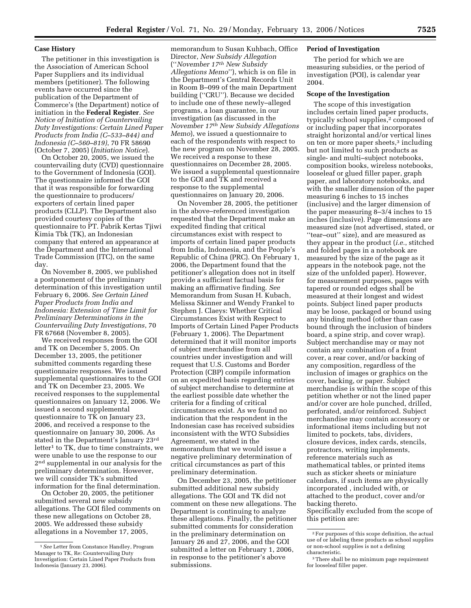## **Case History**

The petitioner in this investigation is the Association of American School Paper Suppliers and its individual members (petitioner). The following events have occurred since the publication of the Department of Commerce's (the Department) notice of initiation in the **Federal Register**. *See Notice of Initiation of Countervailing Duty Investigations: Certain Lined Paper Products from India (C–533–844) and Indonesia (C–560–819)*, 70 FR 58690 (October 7, 2005) (*Initiation Notice*).

On October 20, 2005, we issued the countervailing duty (CVD) questionnaire to the Government of Indonesia (GOI). The questionnaire informed the GOI that it was responsible for forwarding the questionnaire to producers/ exporters of certain lined paper products (CLLP). The Department also provided courtesy copies of the questionnaire to PT. Pabrik Kertas Tjiwi Kimia Tbk (TK), an Indonesian company that entered an appearance at the Department and the International Trade Commission (ITC), on the same day.

On November 8, 2005, we published a postponement of the preliminary determination of this investigation until February 6, 2006. *See Certain Lined Paper Products from India and Indonesia: Extension of Time Limit for Preliminary Determinations in the Countervailing Duty Investigations*, 70 FR 67668 (November 8, 2005).

We received responses from the GOI and TK on December 5, 2005. On December 13, 2005, the petitioner submitted comments regarding these questionnaire responses. We issued supplemental questionnaires to the GOI and TK on December 23, 2005. We received responses to the supplemental questionnaires on January 12, 2006. We issued a second supplemental questionnaire to TK on January 23, 2006, and received a response to the questionnaire on January 30, 2006. As stated in the Department's January 23rd letter1 to TK, due to time constraints, we were unable to use the response to our 2nd supplemental in our analysis for the preliminary determination. However, we will consider TK's submitted information for the final determination.

On October 20, 2005, the petitioner submitted several new subsidy allegations. The GOI filed comments on these new allegations on October 28, 2005. We addressed these subsidy allegations in a November 17, 2005,

memorandum to Susan Kuhbach, Office Director, *New Subsidy Allegation*  (''*November 17th New Subsidy Allegations Memo*''), which is on file in the Department's Central Records Unit in Room B–099 of the main Department building (''CRU''). Because we decided to include one of these newly–alleged programs, a loan guarantee, in our investigation (as discussed in the *November 17th New Subsidy Allegations Memo*), we issued a questionnaire to each of the respondents with respect to the new program on November 28, 2005. We received a response to these questionnaires on December 28, 2005. We issued a supplemental questionnaire to the GOI and TK and received a response to the supplemental questionnaires on January 20, 2006.

On November 28, 2005, the petitioner in the above–referenced investigation requested that the Department make an expedited finding that critical circumstances exist with respect to imports of certain lined paper products from India, Indonesia, and the People's Republic of China (PRC). On February 1, 2006, the Department found that the petitioner's allegation does not in itself provide a sufficient factual basis for making an affirmative finding. *See*  Memorandum from Susan H. Kubach, Melissa Skinner and Wendy Frankel to Stephen J. Claeys: Whether Critical Circumstances Exist with Respect to Imports of Certain Lined Paper Products (February 1, 2006). The Department determined that it will monitor imports of subject merchandise from all countries under investigation and will request that U.S. Customs and Border Protection (CBP) compile information on an expedited basis regarding entries of subject merchandise to determine at the earliest possible date whether the criteria for a finding of critical circumstances exist. As we found no indication that the respondent in the Indonesian case has received subsidies inconsistent with the WTO Subsidies Agreement, we stated in the memorandum that we would issue a negative preliminary determination of critical circumstances as part of this preliminary determination.

On December 23, 2005, the petitioner submitted additional new subsidy allegations. The GOI and TK did not comment on these new allegations. The Department is continuing to analyze these allegations. Finally, the petitioner submitted comments for consideration in the preliminary determination on January 26 and 27, 2006, and the GOI submitted a letter on February 1, 2006, in response to the petitioner's above submissions.

## **Period of Investigation**

The period for which we are measuring subsidies, or the period of investigation (POI), is calendar year 2004.

# **Scope of the Investigation**

The scope of this investigation includes certain lined paper products, typically school supplies,<sup>2</sup> composed of or including paper that incorporates straight horizontal and/or vertical lines on ten or more paper sheets,3 including but not limited to such products as single- and multi–subject notebooks, composition books, wireless notebooks, looseleaf or glued filler paper, graph paper, and laboratory notebooks, and with the smaller dimension of the paper measuring 6 inches to 15 inches (inclusive) and the larger dimension of the paper measuring 8–3/4 inches to 15 inches (inclusive). Page dimensions are measured size (not advertised, stated, or ''tear–out'' size), and are measured as they appear in the product (*i.e.*, stitched and folded pages in a notebook are measured by the size of the page as it appears in the notebook page, not the size of the unfolded paper). However, for measurement purposes, pages with tapered or rounded edges shall be measured at their longest and widest points. Subject lined paper products may be loose, packaged or bound using any binding method (other than case bound through the inclusion of binders board, a spine strip, and cover wrap). Subject merchandise may or may not contain any combination of a front cover, a rear cover, and/or backing of any composition, regardless of the inclusion of images or graphics on the cover, backing, or paper. Subject merchandise is within the scope of this petition whether or not the lined paper and/or cover are hole punched, drilled, perforated, and/or reinforced. Subject merchandise may contain accessory or informational items including but not limited to pockets, tabs, dividers, closure devices, index cards, stencils, protractors, writing implements, reference materials such as mathematical tables, or printed items such as sticker sheets or miniature calendars, if such items are physically incorporated , included with, or attached to the product, cover and/or backing thereto. Specifically excluded from the scope of

this petition are:

<sup>1</sup>*See* Letter from Constance Handley, Program Manager to TK, Re: Countervailing Duty Investigation: Certain Lined Paper Products from Indonesia (January 23, 2006).

<sup>2</sup>For purposes of this scope definition, the actual use of or labeling these products as school supplies or non-school supplies is not a defining characteristic.

<sup>3</sup>There shall be no minimum page requirement for looseleaf filler paper.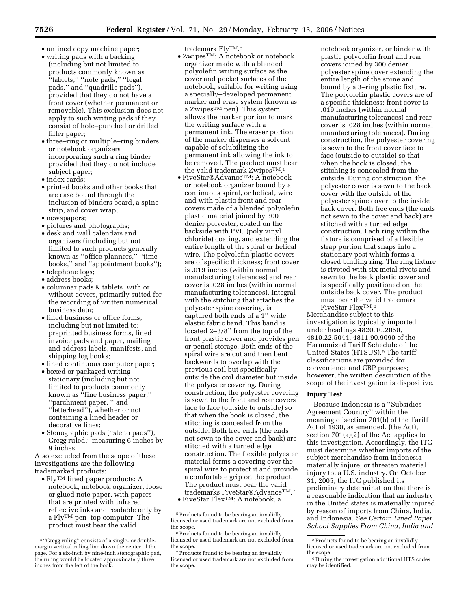- unlined copy machine paper;
- writing pads with a backing (including but not limited to products commonly known as ''tablets,'' ''note pads,'' ''legal pads,'' and ''quadrille pads''), provided that they do not have a front cover (whether permanent or removable). This exclusion does not apply to such writing pads if they consist of hole–punched or drilled filler paper;
- three–ring or multiple–ring binders, or notebook organizers incorporating such a ring binder provided that they do not include subject paper;
- index cards;
- printed books and other books that are case bound through the inclusion of binders board, a spine strip, and cover wrap;
- newspapers;
- pictures and photographs;
- desk and wall calendars and organizers (including but not limited to such products generally known as ''office planners,'' ''time books,'' and ''appointment books'');
- telephone logs;
- address books;
- columnar pads & tablets, with or without covers, primarily suited for the recording of written numerical business data;
- lined business or office forms, including but not limited to: preprinted business forms, lined invoice pads and paper, mailing and address labels, manifests, and shipping log books;
- lined continuous computer paper;
- boxed or packaged writing stationary (including but not limited to products commonly known as ''fine business paper,'' ''parchment paper, '' and ''letterhead''), whether or not containing a lined header or decorative lines;
- Stenographic pads (''steno pads''), Gregg ruled, $4$  measuring 6 inches by 9 inches;

Also excluded from the scope of these investigations are the following trademarked products:

 $\bullet$  Fly<br>TM lined paper products: A notebook, notebook organizer, loose or glued note paper, with papers that are printed with infrared reflective inks and readable only by a  ${\rm Fly^{TM}}$  pen–top computer. The product must bear the valid

trademark FlyTM.5

- Zwipes<sup>TM</sup>: A notebook or notebook organizer made with a blended polyolefin writing surface as the cover and pocket surfaces of the notebook, suitable for writing using a specially–developed permanent marker and erase system (known as a ZwipesTM pen). This system allows the marker portion to mark the writing surface with a permanent ink. The eraser portion of the marker dispenses a solvent capable of solubilizing the permanent ink allowing the ink to be removed. The product must bear the valid trademark ZwipesTM.6
- FiveStar $\mathcal{A}$ dvance<sup>TM</sup>: A notebook or notebook organizer bound by a continuous spiral, or helical, wire and with plastic front and rear covers made of a blended polyolefin plastic material joined by 300 denier polyester, coated on the backside with PVC (poly vinyl chloride) coating, and extending the entire length of the spiral or helical wire. The polyolefin plastic covers are of specific thickness; front cover is .019 inches (within normal manufacturing tolerances) and rear cover is .028 inches (within normal manufacturing tolerances). Integral with the stitching that attaches the polyester spine covering, is captured both ends of a 1'' wide elastic fabric band. This band is located 2–3/8'' from the top of the front plastic cover and provides pen or pencil storage. Both ends of the spiral wire are cut and then bent backwards to overlap with the previous coil but specifically outside the coil diameter but inside the polyester covering. During construction, the polyester covering is sewn to the front and rear covers face to face (outside to outside) so that when the book is closed, the stitching is concealed from the outside. Both free ends (the ends not sewn to the cover and back) are stitched with a turned edge construction. The flexible polyester material forms a covering over the spiral wire to protect it and provide a comfortable grip on the product. The product must bear the valid trademarks FiveStar®AdvanceTM.7
- FiveStar FlexTM: A notebook, a

notebook organizer, or binder with plastic polyolefin front and rear covers joined by 300 denier polyester spine cover extending the entire length of the spine and bound by a 3–ring plastic fixture. The polyolefin plastic covers are of a specific thickness; front cover is .019 inches (within normal manufacturing tolerances) and rear cover is .028 inches (within normal manufacturing tolerances). During construction, the polyester covering is sewn to the front cover face to face (outside to outside) so that when the book is closed, the stitching is concealed from the outside. During construction, the polyester cover is sewn to the back cover with the outside of the polyester spine cover to the inside back cover. Both free ends (the ends not sewn to the cover and back) are stitched with a turned edge construction. Each ring within the fixture is comprised of a flexible strap portion that snaps into a stationary post which forms a closed binding ring. The ring fixture is riveted with six metal rivets and sewn to the back plastic cover and is specifically positioned on the outside back cover. The product must bear the valid trademark FiveStar FlexTM.8

Merchandise subject to this investigation is typically imported under headings 4820.10.2050, 4810.22.5044, 4811.90.9090 of the Harmonized Tariff Schedule of the United States (HTSUS).9 The tariff classifications are provided for convenience and CBP purposes; however, the written description of the scope of the investigation is dispositive.

## **Injury Test**

Because Indonesia is a ''Subsidies Agreement Country'' within the meaning of section 701(b) of the Tariff Act of 1930, as amended, (the Act), section 701(a)(2) of the Act applies to this investigation. Accordingly, the ITC must determine whether imports of the subject merchandise from Indonesia materially injure, or threaten material injury to, a U.S. industry. On October 31, 2005, the ITC published its preliminary determination that there is a reasonable indication that an industry in the United states is materially injured by reason of imports from China, India, and Indonesia. *See Certain Lined Paper School Supplies From China, India and* 

<sup>4</sup> ''Gregg ruling'' consists of a single- or doublemargin vertical ruling line down the center of the page. For a six-inch by nine-inch stenographic pad, the ruling would be located approximately three inches from the left of the book.

<sup>5</sup>Products found to be bearing an invalidly licensed or used trademark are not excluded from the scope.

<sup>6</sup>Products found to be bearing an invalidly licensed or used trademark are not excluded from the scope.

<sup>7</sup>Products found to be bearing an invalidly licensed or used trademark are not excluded from the scope.

<sup>8</sup>Products found to be bearing an invalidly licensed or used trademark are not excluded from

<sup>&</sup>lt;sup>9</sup> During the investigation additional HTS codes may be identified.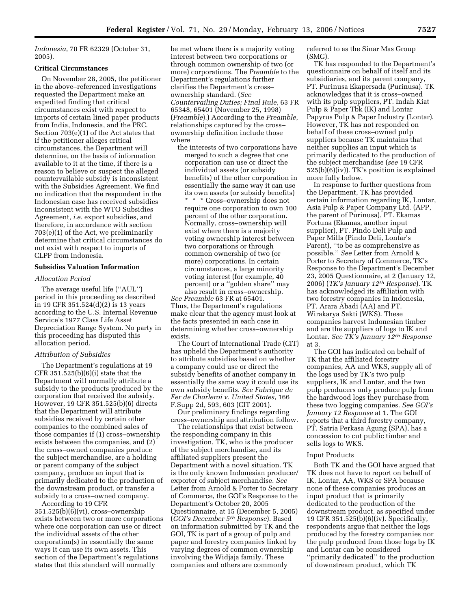*Indonesia*, 70 FR 62329 (October 31, 2005).

## **Critical Circumstances**

On November 28, 2005, the petitioner in the above–referenced investigations requested the Department make an expedited finding that critical circumstances exist with respect to imports of certain lined paper products from India, Indonesia, and the PRC. Section 703(e)(1) of the Act states that if the petitioner alleges critical circumstances, the Department will determine, on the basis of information available to it at the time, if there is a reason to believe or suspect the alleged countervailable subsidy is inconsistent with the Subsidies Agreement. We find no indication that the respondent in the Indonesian case has received subsidies inconsistent with the WTO Subsidies Agreement, *i.e.* export subsidies, and therefore, in accordance with section 703(e)(1) of the Act, we preliminarily determine that critical circumstances do not exist with respect to imports of CLPP from Indonesia.

## **Subsidies Valuation Information**

## *Allocation Period*

The average useful life (''AUL'') period in this proceeding as described in 19 CFR 351.524(d)(2) is 13 years according to the U.S. Internal Revenue Service's 1977 Class Life Asset Depreciation Range System. No party in this proceeding has disputed this allocation period.

## *Attribution of Subsidies*

The Department's regulations at 19 CFR 351.525(b)(6)(i) state that the Department will normally attribute a subsidy to the products produced by the corporation that received the subsidy. However, 19 CFR 351.525(b)(6) directs that the Department will attribute subsidies received by certain other companies to the combined sales of those companies if (1) cross–ownership exists between the companies, and (2) the cross–owned companies produce the subject merchandise, are a holding or parent company of the subject company, produce an input that is primarily dedicated to the production of the downstream product, or transfer a subsidy to a cross–owned company.

According to 19 CFR 351.525(b)(6)(vi), cross–ownership exists between two or more corporations where one corporation can use or direct the individual assets of the other corporation(s) in essentially the same ways it can use its own assets. This section of the Department's regulations states that this standard will normally

be met where there is a majority voting interest between two corporations or through common ownership of two (or more) corporations. The *Preamble* to the Department's regulations further clarifies the Department's cross– ownership standard. (*See Countervailing Duties; Final Rule*, 63 FR 65348, 65401 (November 25, 1998) (*Preamble*).) According to the *Preamble*, relationships captured by the cross– ownership definition include those where

the interests of two corporations have merged to such a degree that one corporation can use or direct the individual assets (or subsidy benefits) of the other corporation in essentially the same way it can use its own assets (or subsidy benefits) \* \* \* Cross–ownership does not

require one corporation to own 100 percent of the other corporation. Normally, cross–ownership will exist where there is a majority voting ownership interest between two corporations or through common ownership of two (or more) corporations. In certain circumstances, a large minority voting interest (for example, 40 percent) or a ''golden share'' may also result in cross–ownership.

*See Preamble* 63 FR at 65401. Thus, the Department's regulations make clear that the agency must look at the facts presented in each case in determining whether cross–ownership exists.

The Court of International Trade (CIT) has upheld the Department's authority to attribute subsidies based on whether a company could use or direct the subsidy benefits of another company in essentially the same way it could use its own subsidy benefits. *See Fabrique de Fer de Charleroi v. United States*, 166 F.Supp 2d, 593, 603 (CIT 2001).

Our preliminary findings regarding cross–ownership and attribution follow.

The relationships that exist between the responding company in this investigation, TK, who is the producer of the subject merchandise, and its affiliated suppliers present the Department with a novel situation. TK is the only known Indonesian producer/ exporter of subject merchandise. *See*  Letter from Arnold & Porter to Secretary of Commerce, the GOI's Response to the Department's October 20, 2005 Questionnaire, at 15 (December 5, 2005) (*GOI's December 5th Response*). Based on information submitted by TK and the GOI, TK is part of a group of pulp and paper and forestry companies linked by varying degrees of common ownership involving the Widjaja family. These companies and others are commonly

referred to as the Sinar Mas Group (SMG).

TK has responded to the Department's questionnaire on behalf of itself and its subsidiaries, and its parent company, PT. Purinusa Ekapersada (Purinusa). TK acknowledges that it is cross–owned with its pulp suppliers, PT. Indah Kiat Pulp & Paper Tbk (IK) and Lontar Papyrus Pulp & Paper Industry (Lontar). However, TK has not responded on behalf of these cross–owned pulp suppliers because TK maintains that neither supplies an input which is primarily dedicated to the production of the subject merchandise (*see* 19 CFR 525(b)(6)(iv)). TK's position is explained more fully below.

In response to further questions from the Department, TK has provided certain information regarding IK, Lontar, Asia Pulp & Paper Company Ltd. (APP, the parent of Purinusa), PT. Ekamas Fortuna (Ekamas, another input supplier), PT. Pindo Deli Pulp and Paper Mills (Pindo Deli, Lontar's Parent), ''to be as comprehensive as possible.'' *See* Letter from Arnold & Porter to Secretary of Commerce, TK's Response to the Department's December 23, 2005 Questionnaire, at 2 (January 12, 2006) (*TK's January 12th Response*). TK has acknowledged its affiliation with two forestry companies in Indonesia, PT. Arara Abadi (AA) and PT. Wirakarya Sakti (WKS). These companies harvest Indonesian timber and are the suppliers of logs to IK and Lontar. *See TK's January 12th Response*  at 3.

The GOI has indicated on behalf of TK that the affiliated forestry companies, AA and WKS, supply all of the logs used by TK's two pulp suppliers, IK and Lontar, and the two pulp producers only produce pulp from the hardwood logs they purchase from these two logging companies. *See GOI's January 12 Response* at 1. The GOI reports that a third forestry company, PT. Satria Perkasa Agung (SPA), has a concession to cut public timber and sells logs to WKS.

## Input Products

Both TK and the GOI have argued that TK does not have to report on behalf of IK, Lontar, AA, WKS or SPA because none of these companies produces an input product that is primarily dedicated to the production of the downstream product, as specified under 19 CFR 351.525(b)(6)(iv). Specifically, respondents argue that neither the logs produced by the forestry companies nor the pulp produced from those logs by IK and Lontar can be considered ''primarily dedicated'' to the production of downstream product, which TK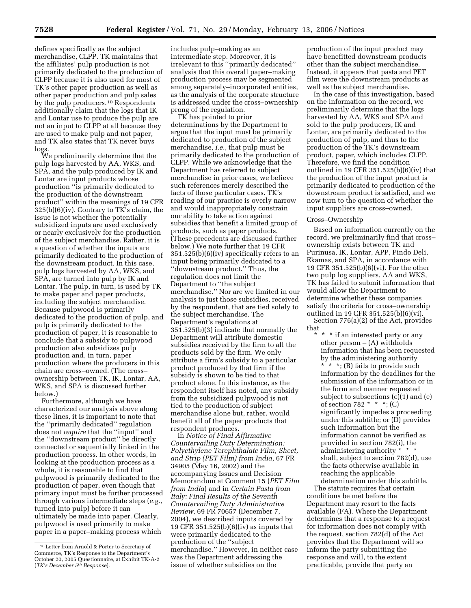defines specifically as the subject merchandise, CLPP. TK maintains that the affiliates' pulp production is not primarily dedicated to the production of CLPP because it is also used for most of TK's other paper production as well as other paper production and pulp sales by the pulp producers.10 Respondents additionally claim that the logs that IK and Lontar use to produce the pulp are not an input to CLPP at all because they are used to make pulp and not paper, and TK also states that TK never buys logs.

We preliminarily determine that the pulp logs harvested by AA, WKS, and SPA, and the pulp produced by IK and Lontar are input products whose production ''is primarily dedicated to the production of the downstream product'' within the meanings of 19 CFR 325(b)(6)(iv). Contrary to TK's claim, the issue is not whether the potentially subsidized inputs are used exclusively or nearly exclusively for the production of the subject merchandise. Rather, it is a question of whether the inputs are primarily dedicated to the production of the downstream product. In this case, pulp logs harvested by AA, WKS, and SPA, are turned into pulp by IK and Lontar. The pulp, in turn, is used by TK to make paper and paper products, including the subject merchandise. Because pulpwood is primarily dedicated to the production of pulp, and pulp is primarily dedicated to the production of paper, it is reasonable to conclude that a subsidy to pulpwood production also subsidizes pulp production and, in turn, paper production where the producers in this chain are cross–owned. (The cross– ownership between TK, IK, Lontar, AA, WKS, and SPA is discussed further below.)

Furthermore, although we have characterized our analysis above along these lines, it is important to note that the ''primarily dedicated'' regulation does not *require* that the ''input'' and the ''downstream product'' be directly connected or sequentially linked in the production process. In other words, in looking at the production process as a whole, it is reasonable to find that pulpwood is primarily dedicated to the production of paper, even though that primary input must be further processed through various intermediate steps (*e.g.*, turned into pulp) before it can ultimately be made into paper. Clearly, pulpwood is used primarily to make paper in a paper–making process which

includes pulp–making as an intermediate step. Moreover, it is irrelevant to this ''primarily dedicated'' analysis that this overall paper–making production process may be segmented among separately–incorporated entities, as the analysis of the corporate structure is addressed under the cross–ownership prong of the regulation.

TK has pointed to prior determinations by the Department to argue that the input must be primarily dedicated to production of the subject merchandise, *i.e.*, that pulp must be primarily dedicated to the production of CLPP. While we acknowledge that the Department has referred to subject merchandise in prior cases, we believe such references merely described the facts of those particular cases. TK's reading of our practice is overly narrow and would inappropriately constrain our ability to take action against subsidies that benefit a limited group of products, such as paper products. (These precedents are discussed further below.) We note further that 19 CFR 351.525(b)(6)(iv) specifically refers to an input being primarily dedicated to a ''downstream product.'' Thus, the regulation does not limit the Department to ''the subject merchandise.'' Nor are we limited in our analysis to just those subsidies, received by the respondent, that are tied solely to the subject merchandise. The Department's regulations at 351.525(b)(3) indicate that normally the Department will attribute domestic subsidies received by the firm to all the products sold by the firm. We only attribute a firm's subsidy to a particular product produced by that firm if the subsidy is shown to be tied to that product alone. In this instance, as the respondent itself has noted, any subsidy from the subsidized pulpwood is not tied to the production of subject merchandise alone but, rather, would benefit all of the paper products that respondent produces.

In *Notice of Final Affirmative Countervailing Duty Determination: Polyethylene Terephthalate Film, Sheet, and Strip (PET Film) from India*, 67 FR 34905 (May 16, 2002) and the accompanying Issues and Decision Memorandum at Comment 15 (*PET Film from India*) and in *Certain Pasta from Italy: Final Results of the Seventh Countervailing Duty Administrative Review*, 69 FR 70657 (December 7, 2004), we described inputs covered by 19 CFR 351.525(b)(6)(iv) as inputs that were primarily dedicated to the production of the ''subject merchandise.'' However, in neither case was the Department addressing the issue of whether subsidies on the

production of the input product may have benefitted downstream products other than the subject merchandise. Instead, it appears that pasta and PET film were the downstream products as well as the subject merchandise.

In the case of this investigation, based on the information on the record, we preliminarily determine that the logs harvested by AA, WKS and SPA and sold to the pulp producers, IK and Lontar, are primarily dedicated to the production of pulp, and thus to the production of the TK's downstream product, paper, which includes CLPP. Therefore, we find the condition outlined in 19 CFR 351.525(b)(6)(iv) that the production of the input product is primarily dedicated to production of the downstream product is satisfied, and we now turn to the question of whether the input suppliers are cross–owned.

#### Cross–Ownership

Based on information currently on the record, we preliminarily find that cross– ownership exists between TK and Purinusa, IK, Lontar, APP, Pindo Deli, Ekamas, and SPA, in accordance with 19 CFR 351.525(b)(6)(vi). For the other two pulp log suppliers, AA and WKS, TK has failed to submit information that would allow the Department to determine whether these companies satisfy the criteria for cross–ownership outlined in 19 CFR 351.525(b)(6)(vi).

Section 776(a)(2) of the Act, provides that

\* \* \* if an interested party or any other person  $-$  (A) withholds information that has been requested by the administering authority \* \* \*; (B) fails to provide such information by the deadlines for the submission of the information or in the form and manner requested subject to subsections (c)(1) and (e) of section 782  $* * *;$  (C) significantly impedes a proceeding under this subtitle; or (D) provides such information but the information cannot be verified as provided in section 782(i), the administering authority \* \* \* shall, subject to section 782(d), use the facts otherwise available in reaching the applicable determination under this subtitle.

The statute requires that certain conditions be met before the Department may resort to the facts available (FA). Where the Department determines that a response to a request for information does not comply with the request, section 782(d) of the Act provides that the Department will so inform the party submitting the response and will, to the extent practicable, provide that party an

<sup>10</sup>Letter from Arnold & Porter to Secretary of Commerce, TK's Response to the Department's October 20, 2005 Questionnaire, at Exhibit TK-A-2 (*TK's December 5th Response*).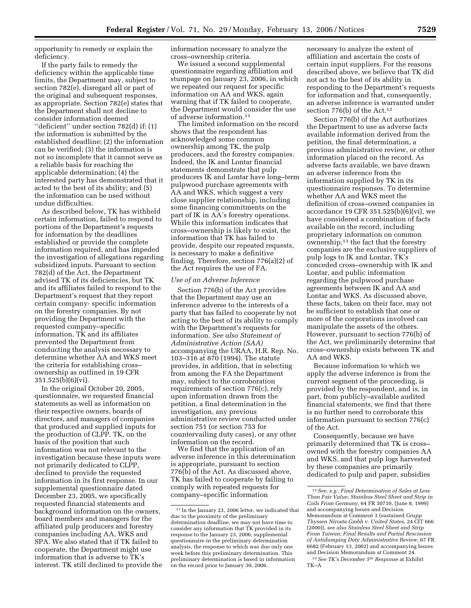opportunity to remedy or explain the deficiency.

If the party fails to remedy the deficiency within the applicable time limits, the Department may, subject to section 782(e), disregard all or part of the original and subsequent responses, as appropriate. Section 782(e) states that the Department shall not decline to consider information deemed ''deficient'' under section 782(d) if: (1) the information is submitted by the established deadline; (2) the information can be verified; (3) the information is not so incomplete that it cannot serve as a reliable basis for reaching the applicable determination; (4) the interested party has demonstrated that it acted to the best of its ability; and (5) the information can be used without undue difficulties.

As described below, TK has withheld certain information, failed to respond to portions of the Department's requests for information by the deadlines established or provide the complete information required, and has impeded the investigation of allegations regarding subsidized inputs. Pursuant to section 782(d) of the Act, the Department advised TK of its deficiencies, but TK and its affiliates failed to respond to the Department's request that they report certain company- specific information on the forestry companies. By not providing the Department with the requested company–specific information, TK and its affiliates prevented the Department from conducting the analysis necessary to determine whether AA and WKS meet the criteria for establishing cross– ownership as outlined in 19 CFR 351.525(b)(6)(vi).

In the original October 20, 2005, questionnaire, we requested financial statements as well as information on their respective owners, boards of directors, and managers of companies that produced and supplied inputs for the production of CLPP. TK, on the basis of the position that such information was not relevant to the investigation because these inputs were not primarily dedicated to CLPP, declined to provide the requested information in its first response. In our supplemental questionnaire dated December 23, 2005, we specifically requested financial statements and background information on the owners, board members and managers for the affiliated pulp producers and forestry companies including AA, WKS and SPA. We also stated that if TK failed to cooperate, the Department might use information that is adverse to TK's interest. TK still declined to provide the information necessary to analyze the cross–ownership criteria.

We issued a second supplemental questionnaire regarding affiliation and stumpage on January 23, 2006, in which we repeated our request for specific information on AA and WKS, again warning that if TK failed to cooperate, the Department would consider the use of adverse information.11

The limited information on the record shows that the respondent has acknowledged some common ownership among TK, the pulp producers, and the forestry companies. Indeed, the IK and Lontar financial statements demonstrate that pulp producers IK and Lontar have long–term pulpwood purchase agreements with AA and WKS, which suggest a very close supplier relationship, including some financing commitments on the part of IK in AA's forestry operations. While this information indicates that cross–ownership is likely to exist, the information that TK has failed to provide, despite our repeated requests, is necessary to make a definitive finding. Therefore, section 776(a)(2) of the Act requires the use of FA.

## *Use of an Adverse Inference*

Section 776(b) of the Act provides that the Department may use an inference adverse to the interests of a party that has failed to cooperate by not acting to the best of its ability to comply with the Department's requests for information. *See also Statement of Administrative Action (SAA)*  accompanying the URAA, H.R. Rep. No. 103–316 at 870 (1994). The statute provides, in addition, that in selecting from among the FA the Department may, subject to the corroboration requirements of section 776(c), rely upon information drawn from the petition, a final determination in the investigation, any previous administrative review conducted under section 751 (or section 753 for countervailing duty cases), or any other information on the record.

We find that the application of an adverse inference in this determination is appropriate, pursuant to section 776(b) of the Act. As discussed above, TK has failed to cooperate by failing to comply with repeated requests for company–specific information

necessary to analyze the extent of affiliation and ascertain the costs of certain input suppliers. For the reasons described above, we believe that TK did not act to the best of its ability in responding to the Department's requests for information and that, consequently, an adverse inference is warranted under section 776(b) of the Act.12

Section 776(b) of the Act authorizes the Department to use as adverse facts available information derived from the petition, the final determination, a previous administrative review, or other information placed on the record. As adverse facts available, we have drawn an adverse inference from the information supplied by TK in its questionnaire responses. To determine whether AA and WKS meet the definition of cross–owned companies in accordance 19 CFR 351.525(b)(6)(vi), we have considered a combination of facts available on the record, including proprietary information on common ownership,13 the fact that the forestry companies are the exclusive suppliers of pulp logs to IK and Lontar, TK's conceded cross–ownership with IK and Lontar, and public information regarding the pulpwood purchase agreements between IK and AA and Lontar and WKS. As discussed above, these facts, taken on their face, may not be sufficient to establish that one or more of the corporations involved can manipulate the assets of the others. However, pursuant to section 776(b) of the Act, we preliminarily determine that cross–ownership exists between TK and AA and WKS.

Because information to which we apply the adverse inference is from the current segment of the proceeding, is provided by the respondent, and is, in part, from publicly–available audited financial statements, we find that there is no further need to corroborate this information pursuant to section 776(c) of the Act.

Consequently, because we have primarily determined that TK is cross– owned with the forestry companies AA and WKS, and that pulp logs harvested by these companies are primarily dedicated to pulp and paper, subsidies

<sup>11</sup> In the January 23, 2006 letter, we indicated that due to the proximity of the preliminary determination deadline, we may not have time to consider any information that TK provided in its response to the January 23, 2006, supplemental questionnaire in the preliminary determination analysis, the response to which was due only one week before this preliminary determination. This preliminary determination is based in information on the record prior to January 30, 2006.

<sup>12</sup>*See*, *e.g.*, *Final Determination of Sales at Less Than Fair Value; Stainless Steel Sheet and Strip in Coils From Germany*, 64 FR 30710, (June 8, 1999) and accompanying Issues and Decision Memorandum at Comment 3 (sustained *Grupp Thyssen Nirosta Gmbh v. United States*, 24 CIT 666 (2000)), *see also Stainless Steel Sheet and Strip From Taiwan; Final Results and Partial Rescission of Antidumping Duty Administrative Review*, 67 FR 6682 (February 13, 2002) and accompanying Issues and Decision Memorandum at Comment 24.

<sup>13</sup>*See TK's December 5th Response* at Exhibit TK–A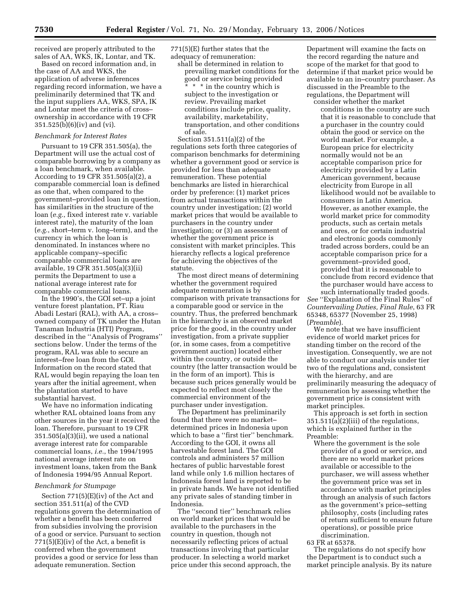received are properly attributed to the sales of AA, WKS, IK, Lontar, and TK.

Based on record information and, in the case of AA and WKS, the application of adverse inferences regarding record information, we have a preliminarily determined that TK and the input suppliers AA, WKS, SPA, IK and Lontar meet the criteria of cross– ownership in accordance with 19 CFR 351.525(b)(6)(iv) and (vi).

## *Benchmark for Interest Rates*

Pursuant to 19 CFR 351.505(a), the Department will use the actual cost of comparable borrowing by a company as a loan benchmark, when available. According to 19 CFR 351.505(a)(2), a comparable commercial loan is defined as one that, when compared to the government–provided loan in question, has similarities in the structure of the loan (*e.g.*, fixed interest rate v. variable interest rate), the maturity of the loan (*e.g.*, short–term v. long–term), and the currency in which the loan is denominated. In instances where no applicable company–specific comparable commercial loans are available, 19 CFR 351.505(a)(3)(ii) permits the Department to use a national average interest rate for comparable commercial loans.

In the 1990's, the GOI set–up a joint venture forest plantation, PT. Riau Abadi Lestari (RAL), with AA, a cross– owned company of TK under the Hutan Tanaman Industria (HTI) Program, described in the ''Analysis of Programs'' sections below. Under the terms of the program, RAL was able to secure an interest–free loan from the GOI. Information on the record stated that RAL would begin repaying the loan ten years after the initial agreement, when the plantation started to have substantial harvest.

We have no information indicating whether RAL obtained loans from any other sources in the year it received the loan. Therefore, pursuant to 19 CFR 351.505(a)(3)(ii), we used a national average interest rate for comparable commercial loans, *i.e.*, the 1994/1995 national average interest rate on investment loans, taken from the Bank of Indonesia 1994/95 Annual Report.

## *Benchmark for Stumpage*

Section 771(5)(E)(iv) of the Act and section 351.511(a) of the CVD regulations govern the determination of whether a benefit has been conferred from subsidies involving the provision of a good or service. Pursuant to section  $771(5)$ (E)(iv) of the Act, a benefit is conferred when the government provides a good or service for less than adequate remuneration. Section

771(5)(E) further states that the adequacy of remuneration:

shall be determined in relation to prevailing market conditions for the good or service being provided \* \* \* in the country which is subject to the investigation or review. Prevailing market conditions include price, quality, availability, marketability, transportation, and other conditions of sale.

Section 351.511(a)(2) of the regulations sets forth three categories of comparison benchmarks for determining whether a government good or service is provided for less than adequate remuneration. These potential benchmarks are listed in hierarchical order by preference: (1) market prices from actual transactions within the country under investigation; (2) world market prices that would be available to purchasers in the country under investigation; or (3) an assessment of whether the government price is consistent with market principles. This hierarchy reflects a logical preference for achieving the objectives of the statute.

The most direct means of determining whether the government required adequate remuneration is by comparison with private transactions for a comparable good or service in the country. Thus, the preferred benchmark in the hierarchy is an observed market price for the good, in the country under investigation, from a private supplier (or, in some cases, from a competitive government auction) located either within the country, or outside the country (the latter transaction would be in the form of an import). This is because such prices generally would be expected to reflect most closely the commercial environment of the purchaser under investigation.

The Department has preliminarily found that there were no market– determined prices in Indonesia upon which to base a ''first tier'' benchmark. According to the GOI, it owns all harvestable forest land. The GOI controls and administers 57 million hectares of public harvestable forest land while only 1.6 million hectares of Indonesia forest land is reported to be in private hands. We have not identified any private sales of standing timber in Indonesia.

The ''second tier'' benchmark relies on world market prices that would be available to the purchasers in the country in question, though not necessarily reflecting prices of actual transactions involving that particular producer. In selecting a world market price under this second approach, the

Department will examine the facts on the record regarding the nature and scope of the market for that good to determine if that market price would be available to an in–country purchaser. As discussed in the Preamble to the regulations, the Department will consider whether the market

conditions in the country are such that it is reasonable to conclude that a purchaser in the country could obtain the good or service on the world market. For example, a European price for electricity normally would not be an acceptable comparison price for electricity provided by a Latin American government, because electricity from Europe in all likelihood would not be available to consumers in Latin America. However, as another example, the world market price for commodity products, such as certain metals and ores, or for certain industrial and electronic goods commonly traded across borders, could be an acceptable comparison price for a government–provided good, provided that it is reasonable to conclude from record evidence that the purchaser would have access to such internationally traded goods.

*See* ''Explanation of the Final Rules'' of *Countervailing Duties, Final Rule*, 63 FR 65348, 65377 (November 25, 1998) (*Preamble*).

We note that we have insufficient evidence of world market prices for standing timber on the record of the investigation. Consequently, we are not able to conduct our analysis under tier two of the regulations and, consistent with the hierarchy, and are preliminarily measuring the adequacy of remuneration by assessing whether the government price is consistent with market principles.

This approach is set forth in section 351.511(a)(2)(iii) of the regulations, which is explained further in the Preamble:

Where the government is the sole provider of a good or service, and there are no world market prices available or accessible to the purchaser, we will assess whether the government price was set in accordance with market principles through an analysis of such factors as the government's price–setting philosophy, costs (including rates of return sufficient to ensure future operations), or possible price discrimination.

63 FR at 65378.

The regulations do not specify how the Department is to conduct such a market principle analysis. By its nature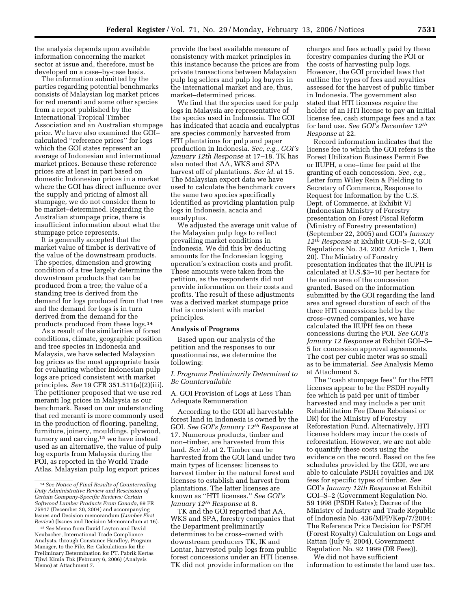the analysis depends upon available information concerning the market sector at issue and, therefore, must be developed on a case–by-case basis.

The information submitted by the parties regarding potential benchmarks consists of Malaysian log market prices for red meranti and some other species from a report published by the International Tropical Timber Association and an Australian stumpage price. We have also examined the GOI– calculated ''reference prices'' for logs which the GOI states represent an average of Indonesian and international market prices. Because these reference prices are at least in part based on domestic Indonesian prices in a market where the GOI has direct influence over the supply and pricing of almost all stumpage, we do not consider them to be market–determined. Regarding the Australian stumpage price, there is insufficient information about what the stumpage price represents.

It is generally accepted that the market value of timber is derivative of the value of the downstream products. The species, dimension and growing condition of a tree largely determine the downstream products that can be produced from a tree; the value of a standing tree is derived from the demand for logs produced from that tree and the demand for logs is in turn derived from the demand for the products produced from these logs.14

As a result of the similarities of forest conditions, climate, geographic position and tree species in Indonesia and Malaysia, we have selected Malaysian log prices as the most appropriate basis for evaluating whether Indonesian pulp logs are priced consistent with market principles. *See* 19 CFR 351.511(a)(2)(iii). The petitioner proposed that we use red meranti log prices in Malaysia as our benchmark. Based on our understanding that red meranti is more commonly used in the production of flooring, paneling, furniture, joinery, mouldings, plywood, turnery and carving,<sup>15</sup> we have instead used as an alternative, the value of pulp log exports from Malaysia during the POI, as reported in the World Trade Atlas. Malaysian pulp log export prices

provide the best available measure of consistency with market principles in this instance because the prices are from private transactions between Malaysian pulp log sellers and pulp log buyers in the international market and are, thus, market–determined prices.

We find that the species used for pulp logs in Malaysia are representative of the species used in Indonesia. The GOI has indicated that acacia and eucalyptus are species commonly harvested from HTI plantations for pulp and paper production in Indonesia. *See*, *e.g.*, *GOI's January 12th Response* at 17–18. TK has also noted that AA, WKS and SPA harvest off of plantations. *See id*. at 15. The Malaysian export data we have used to calculate the benchmark covers the same two species specifically identified as providing plantation pulp logs in Indonesia, acacia and eucalyptus.

We adjusted the average unit value of the Malaysian pulp logs to reflect prevailing market conditions in Indonesia. We did this by deducting amounts for the Indonesian logging operation's extraction costs and profit. These amounts were taken from the petition, as the respondents did not provide information on their costs and profits. The result of these adjustments was a derived market stumpage price that is consistent with market principles.

## **Analysis of Programs**

Based upon our analysis of the petition and the responses to our questionnaires, we determine the following:

*I. Programs Preliminarily Determined to Be Countervailable* 

A. GOI Provision of Logs at Less Than Adequate Remuneration

According to the GOI all harvestable forest land in Indonesia is owned by the GOI. *See GOI's January 12th Response* at 17. Numerous products, timber and non–timber, are harvested from this land. *See id.* at 2. Timber can be harvested from the GOI land under two main types of licenses: licenses to harvest timber in the natural forest and licenses to establish and harvest from plantations. The latter licenses are known as ''HTI licenses.'' *See GOI's January 12th Response* at 8.

TK and the GOI reported that AA, WKS and SPA, forestry companies that the Department preliminarily determines to be cross–owned with downstream producers TK, IK and Lontar, harvested pulp logs from public forest concessions under an HTI license. TK did not provide information on the

charges and fees actually paid by these forestry companies during the POI or the costs of harvesting pulp logs. However, the GOI provided laws that outline the types of fees and royalties assessed for the harvest of public timber in Indonesia. The government also stated that HTI licenses require the holder of an HTI license to pay an initial license fee, cash stumpage fees and a tax for land use. *See GOI's December 12th Response* at 22.

Record information indicates that the license fee to which the GOI refers is the Forest Utilization Business Permit Fee or IIUPH, a one–time fee paid at the granting of each concession. *See*, *e.g.*, Letter form Wiley Rein & Fielding to Secretary of Commerce, Response to Request for Information by the U.S. Dept. of Commerce, at Exhibit VI (Indonesian Ministry of Forestry presentation on Forest Fiscal Reform (Ministry of Forestry presentation) (September 22, 2005) and GOI's *January 12th Response* at Exhibit GOI–S–2, GOI Regulations No. 34, 2002 Article 1, Item 20). The Ministry of Forestry presentation indicates that the IIUPH is calculated at U.S.\$3–10 per hectare for the entire area of the concession granted. Based on the information submitted by the GOI regarding the land area and agreed duration of each of the three HTI concessions held by the cross–owned companies, we have calculated the IIUPH fee on these concessions during the POI. *See GOI's January 12 Response* at Exhibit GOI–S– 5 for concession approval agreements. The cost per cubic meter was so small as to be immaterial. *See* Analysis Memo at Attachment 5.

The ''cash stumpage fees'' for the HTI licenses appear to be the PSDH royalty fee which is paid per unit of timber harvested and may include a per unit Rehabilitation Fee (Dana Reboisasi or DR) for the Ministry of Forestry Reforestation Fund. Alternatively, HTI license holders may incur the costs of reforestation. However, we are not able to quantify these costs using the evidence on the record. Based on the fee schedules provided by the GOI, we are able to calculate PSDH royalties and DR fees for specific types of timber. *See*  GOI's *January 12th Response* at Exhibit GOI–S–2 (Government Regulation No. 59 1998 (PSDH Rates); Decree of the Ministry of Industry and Trade Republic of Indonesia No. 436/MPP/Kep/7/2004: The Reference Price Decision for PSDH (Forest Royalty) Calculation on Logs and Rattan (July 9, 2004), Government Regulation No. 92 1999 (DR Fees)).

We did not have sufficient information to estimate the land use tax.

<sup>14</sup>*See Notice of Final Results of Countervailing Duty Administrative Review and Rescission of Certain Company-Specific Reviews: Certain Softwood Lumber Products From Canada*, 69 FR 75917 (December 20, 2004) and accompanying Issues and Decision memorandum (*Lumber First Review*) (Issues and Decision Memorandum at 16).

<sup>15</sup>*See* Memo from David Layton and David Neubacher, International Trade Compliance Analysts, through Constance Handley, Program Manager, to the File, Re: Calculations for the Preliminary Determination for PT. Pabrik Kertas Tjiwi Kimia Tbk (February 6, 2006) (Analysis Memo) at Attachment 7.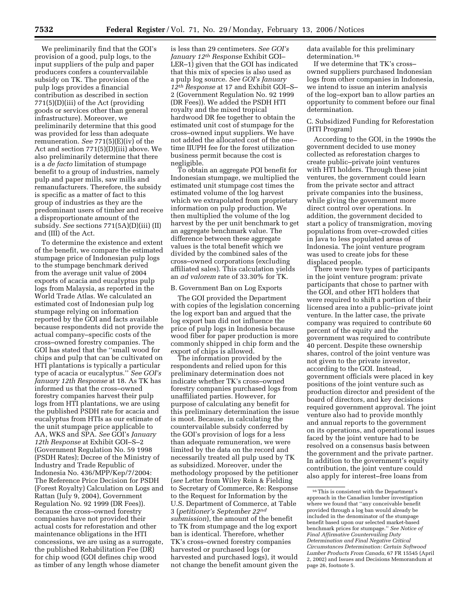We preliminarily find that the GOI's provision of a good, pulp logs, to the input suppliers of the pulp and paper producers confers a countervailable subsidy on TK. The provision of the pulp logs provides a financial contribution as described in section 771(5)(D)(iii) of the Act (providing goods or services other than general infrastructure). Moreover, we preliminarily determine that this good was provided for less than adequate remuneration. *See* 771(5)(E)(iv) of the Act and section 771(5)(D)(iii) above. We also preliminarily determine that there is a *de facto* limitation of stumpage benefit to a group of industries, namely pulp and paper mills, saw mills and remanufacturers. Therefore, the subsidy is specific as a matter of fact to this group of industries as they are the predominant users of timber and receive a disproportionate amount of the subsidy. *See* sections 771(5A)(D)(iii) (II) and (III) of the Act.

To determine the existence and extent of the benefit, we compare the estimated stumpage price of Indonesian pulp logs to the stumpage benchmark derived from the average unit value of 2004 exports of acacia and eucalyptus pulp logs from Malaysia, as reported in the World Trade Atlas. We calculated an estimated cost of Indonesian pulp log stumpage relying on information reported by the GOI and facts available because respondents did not provide the actual company–specific costs of the cross–owned forestry companies. The GOI has stated that the ''small wood for chips and pulp that can be cultivated on HTI plantations is typically a particular type of acacia or eucalyptus.'' *See GOI's January 12th Response* at 18. As TK has informed us that the cross–owned forestry companies harvest their pulp logs from HTI plantations, we are using the published PSDH rate for acacia and eucalyptus from HTIs as our estimate of the unit stumpage price applicable to AA, WKS and SPA. *See* GOI's *January 12th Response* at Exhibit GOI–S–2 (Government Regulation No. 59 1998 (PSDH Rates); Decree of the Ministry of Industry and Trade Republic of Indonesia No. 436/MPP/Kep/7/2004: The Reference Price Decision for PSDH (Forest Royalty) Calculation on Logs and Rattan (July 9, 2004), Government Regulation No. 92 1999 (DR Fees)). Because the cross–owned forestry companies have not provided their actual costs for reforestation and other maintenance obligations in the HTI concessions, we are using as a surrogate, the published Rehabilitation Fee (DR) for chip wood (GOI defines chip wood as timber of any length whose diameter

is less than 29 centimeters. *See GOI's January 12th Response* Exhibit GOI– LER–1) given that the GOI has indicated that this mix of species is also used as a pulp log source. *See GOI's January 12th Response* at 17 and Exhibit GOI–S– 2 (Government Regulation No. 92 1999 (DR Fees)). We added the PSDH HTI royalty and the mixed tropical hardwood DR fee together to obtain the estimated unit cost of stumpage for the cross–owned input suppliers. We have not added the allocated cost of the one– time IIUPH fee for the forest utilization business permit because the cost is negligible.

To obtain an aggregate POI benefit for Indonesian stumpage, we multiplied the estimated unit stumpage cost times the estimated volume of the log harvest which we extrapolated from proprietary information on pulp production. We then multiplied the volume of the log harvest by the per unit benchmark to get an aggregate benchmark value. The difference between these aggregate values is the total benefit which we divided by the combined sales of the cross–owned corporations (excluding affiliated sales). This calculation yields an *ad valorem* rate of 33.30% for TK.

#### B. Government Ban on Log Exports

The GOI provided the Department with copies of the legislation concerning the log export ban and argued that the log export ban did not influence the price of pulp logs in Indonesia because wood fiber for paper production is more commonly shipped in chip form and the export of chips is allowed.

The information provided by the respondents and relied upon for this preliminary determination does not indicate whether TK's cross–owned forestry companies purchased logs from unaffiliated parties. However, for purpose of calculating any benefit for this preliminary determination the issue is moot. Because, in calculating the countervailable subsidy conferred by the GOI's provision of logs for a less than adequate remuneration, we were limited by the data on the record and necessarily treated all pulp used by TK as subsidized. Moreover, under the methodology proposed by the petitioner (*see* Letter from Wiley Rein & Fielding to Secretary of Commerce, Re: Response to the Request for Information by the U.S. Department of Commerce, at Table 3 (*petitioner's September 22nd submission*), the amount of the benefit to TK from stumpage and the log export ban is identical. Therefore, whether TK's cross–owned forestry companies harvested or purchased logs (or harvested and purchased logs), it would not change the benefit amount given the

data available for this preliminary determination.16

If we determine that TK's cross– owned suppliers purchased Indonesian logs from other companies in Indonesia, we intend to issue an interim analysis of the log–export ban to allow parties an opportunity to comment before our final determination.

# C. Subsidized Funding for Reforestation (HTI Program)

According to the GOI, in the 1990s the government decided to use money collected as reforestation charges to create public–private joint ventures with HTI holders. Through these joint ventures, the government could learn from the private sector and attract private companies into the business, while giving the government more direct control over operations. In addition, the government decided to start a policy of transmigration, moving populations from over–crowded cities in Java to less populated areas of Indonesia. The joint venture program was used to create jobs for these displaced people.

There were two types of participants in the joint venture program: private participants that chose to partner with the GOI, and other HTI holders that were required to shift a portion of their licensed area into a public–private joint venture. In the latter case, the private company was required to contribute 60 percent of the equity and the government was required to contribute 40 percent. Despite these ownership shares, control of the joint venture was not given to the private investor, according to the GOI. Instead, government officials were placed in key positions of the joint venture such as production director and president of the board of directors, and key decisions required government approval. The joint venture also had to provide monthly and annual reports to the government on its operations, and operational issues faced by the joint venture had to be resolved on a consensus basis between the government and the private partner. In addition to the government's equity contribution, the joint venture could also apply for interest–free loans from

<sup>16</sup>This is consistent with the Department's approach in the Canadian lumber investigation where we found that ''any conceivable benefit provided through a log ban would already be included in the denominator of the stumpage benefit based upon our selected market-based benchmark prices for stumpage.'' *See Notice of Final Affirmative Countervailing Duty Determination and Final Negative Critical Circumstances Determination: Certain Softwood Lumber Products From Canada*, 67 FR 15545 (April 2, 2002) and Issues and Decisions Memorandum at page 26, footnote 5.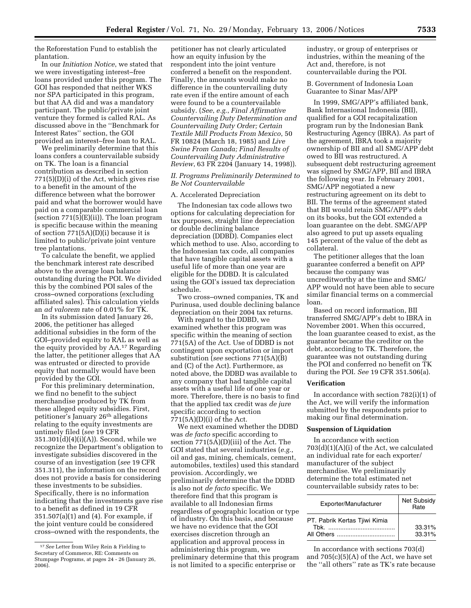the Reforestation Fund to establish the plantation.

In our *Initiation Notice*, we stated that we were investigating interest–free loans provided under this program. The GOI has responded that neither WKS nor SPA participated in this program, but that AA did and was a mandatory participant. The public/private joint venture they formed is called RAL. As discussed above in the ''Benchmark for Interest Rates'' section, the GOI provided an interest–free loan to RAL.

We preliminarily determine that this loans confers a countervailable subsidy on TK. The loan is a financial contribution as described in section 771(5)(D)(i) of the Act, which gives rise to a benefit in the amount of the difference between what the borrower paid and what the borrower would have paid on a comparable commercial loan (section 771(5)(E)(ii)). The loan program is specific because within the meaning of section 771(5A)(D)(i) because it is limited to public/private joint venture tree plantations.

To calculate the benefit, we applied the benchmark interest rate described above to the average loan balance outstanding during the POI. We divided this by the combined POI sales of the cross–owned corporations (excluding affiliated sales). This calculation yields an *ad valorem* rate of 0.01% for TK.

In its submission dated January 26, 2006, the petitioner has alleged additional subsidies in the form of the GOI–provided equity to RAL as well as the equity provided by AA.17 Regarding the latter, the petitioner alleges that AA was entrusted or directed to provide equity that normally would have been provided by the GOI.

For this preliminary determination, we find no benefit to the subject merchandise produced by TK from these alleged equity subsidies. First, petitioner's January 26th allegations relating to the equity investments are untimely filed (*see* 19 CFR 351.301(d)(4)(i)(A)). Second, while we recognize the Department's obligation to investigate subsidies discovered in the course of an investigation (*see* 19 CFR 351.311), the information on the record does not provide a basis for considering these investments to be subsidies. Specifically, there is no information indicating that the investments gave rise to a benefit as defined in 19 CFR 351.507(a)(1) and (4). For example, if the joint venture could be considered cross–owned with the respondents, the

petitioner has not clearly articulated how an equity infusion by the respondent into the joint venture conferred a benefit on the respondent. Finally, the amounts would make no difference in the countervailing duty rate even if the entire amount of each were found to be a countervailable subsidy. (*See*, *e.g.*, *Final Affirmative Countervailing Duty Determination and Countervailing Duty Order; Certain Textile Mill Products From Mexico*, 50 FR 10824 (March 18, 1985) and *Live Swine From Canada; Final Results of Countervailing Duty Administrative Review*, 63 FR 2204 (January 14, 1998)).

## *II. Programs Preliminarily Determined to Be Not Countervailable*

#### A. Accelerated Depreciation

The Indonesian tax code allows two options for calculating depreciation for tax purposes, straight line depreciation or double declining balance depreciation (DDBD). Companies elect which method to use. Also, according to the Indonesian tax code, all companies that have tangible capital assets with a useful life of more than one year are eligible for the DDBD. It is calculated using the GOI's issued tax depreciation schedule.

Two cross–owned companies, TK and Purinusa, used double declining balance depreciation on their 2004 tax returns.

With regard to the DDBD, we examined whether this program was specific within the meaning of section 771(5A) of the Act. Use of DDBD is not contingent upon exportation or import substitution (*see* sections 771(5A)(B) and (C) of the Act). Furthermore, as noted above, the DDBD was available to any company that had tangible capital assets with a useful life of one year or more. Therefore, there is no basis to find that the applied tax credit was *de jure*  specific according to section 771(5A)(D)(i) of the Act.

We next examined whether the DDBD was *de facto* specific according to section 771(5A)(D)(iii) of the Act. The GOI stated that several industries (*e.g.*, oil and gas, mining, chemicals, cement, automobiles, textiles) used this standard provision. Accordingly, we preliminarily determine that the DDBD is also not *de facto* specific. We therefore find that this program is available to all Indonesian firms regardless of geographic location or type of industry. On this basis, and because we have no evidence that the GOI exercises discretion through an application and approval process in administering this program, we preliminary determine that this program is not limited to a specific enterprise or

industry, or group of enterprises or industries, within the meaning of the Act and, therefore, is not countervailable during the POI.

B. Government of Indonesia Loan Guarantee to Sinar Mas/APP

In 1999, SMG/APP's affiliated bank, Bank Internasional Indonesia (BII), qualified for a GOI recapitalization program run by the Indonesian Bank Restructuring Agency (IBRA). As part of the agreement, IBRA took a majority ownership of BII and all SMG/APP debt owed to BII was restructured. A subsequent debt restructuring agreement was signed by SMG/APP, BII and IBRA the following year. In February 2001, SMG/APP negotiated a new restructuring agreement on its debt to BII. The terms of the agreement stated that BII would retain SMG/APP's debt on its books, but the GOI extended a loan guarantee on the debt. SMG/APP also agreed to put up assets equaling 145 percent of the value of the debt as collateral.

The petitioner alleges that the loan guarantee conferred a benefit on APP because the company was uncreditworthy at the time and SMG/ APP would not have been able to secure similar financial terms on a commercial loan.

Based on record information, BII transferred SMG/APP's debt to IBRA in November 2001. When this occurred, the loan guarantee ceased to exist, as the guarantor became the creditor on the debt, according to TK. Therefore, the guarantee was not outstanding during the POI and conferred no benefit on TK during the POI. *See* 19 CFR 351.506(a).

## **Verification**

In accordance with section 782(i)(1) of the Act, we will verify the information submitted by the respondents prior to making our final determination.

#### **Suspension of Liquidation**

In accordance with section 703(d)(1)(A)(i) of the Act, we calculated an individual rate for each exporter/ manufacturer of the subject merchandise. We preliminarily determine the total estimated net countervailable subsidy rates to be:

| Exporter/Manufacturer                       | Net Subsidy<br>Rate |
|---------------------------------------------|---------------------|
| PT. Pabrik Kertas Tjiwi Kimia<br>All Others | 33.31%<br>33.31%    |

In accordance with sections 703(d) and  $705(c)(5)(A)$  of the Act, we have set the ''all others'' rate as TK's rate because

<sup>17</sup>*See* Letter from Wiley Rein & Fielding to Secretary of Commerce, RE: Comments on Stumpage Programs, at pages 24 - 26 (January 26, 2006).